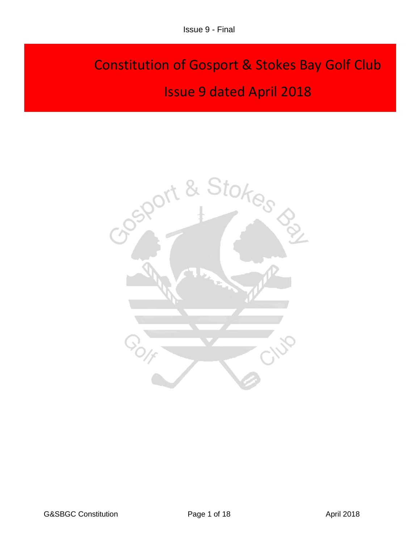# Constitution of Gosport & Stokes Bay Golf Club Issue 9 dated April 2018

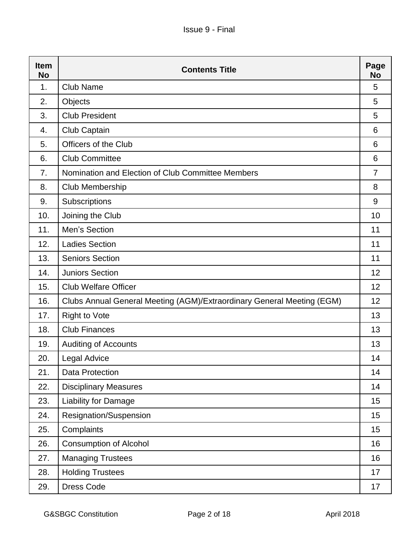| <b>Item</b><br><b>No</b> | <b>Contents Title</b>                                                  | Page<br>No     |
|--------------------------|------------------------------------------------------------------------|----------------|
| 1.                       | <b>Club Name</b>                                                       | 5              |
| 2.                       | Objects                                                                | 5              |
| 3.                       | <b>Club President</b>                                                  | 5              |
| 4.                       | Club Captain                                                           | 6              |
| 5.                       | Officers of the Club                                                   | 6              |
| 6.                       | <b>Club Committee</b>                                                  | 6              |
| 7.                       | Nomination and Election of Club Committee Members                      | $\overline{7}$ |
| 8.                       | Club Membership                                                        | 8              |
| 9.                       | Subscriptions                                                          | 9              |
| 10.                      | Joining the Club                                                       | 10             |
| 11.                      | Men's Section                                                          | 11             |
| 12.                      | <b>Ladies Section</b>                                                  | 11             |
| 13.                      | <b>Seniors Section</b>                                                 | 11             |
| 14.                      | <b>Juniors Section</b>                                                 | 12             |
| 15.                      | <b>Club Welfare Officer</b>                                            | 12             |
| 16.                      | Clubs Annual General Meeting (AGM)/Extraordinary General Meeting (EGM) | 12             |
| 17.                      | <b>Right to Vote</b>                                                   | 13             |
| 18.                      | <b>Club Finances</b>                                                   | 13             |
| 19.                      | <b>Auditing of Accounts</b>                                            | 13             |
| 20.                      | <b>Legal Advice</b>                                                    | 14             |
| 21.                      | <b>Data Protection</b>                                                 | 14             |
| 22.                      | <b>Disciplinary Measures</b>                                           | 14             |
| 23.                      | Liability for Damage                                                   | 15             |
| 24.                      | Resignation/Suspension                                                 | 15             |
| 25.                      | Complaints                                                             | 15             |
| 26.                      | <b>Consumption of Alcohol</b>                                          | 16             |
| 27.                      | <b>Managing Trustees</b>                                               | 16             |
| 28.                      | <b>Holding Trustees</b>                                                | 17             |
| 29.                      | Dress Code                                                             | 17             |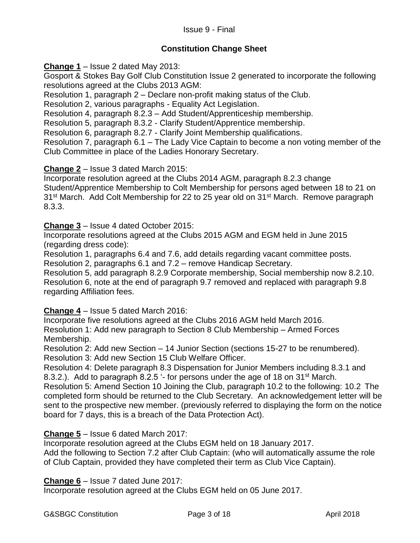## Issue 9 - Final

## **Constitution Change Sheet**

**Change 1** – Issue 2 dated May 2013:

Gosport & Stokes Bay Golf Club Constitution Issue 2 generated to incorporate the following resolutions agreed at the Clubs 2013 AGM:

Resolution 1, paragraph 2 – Declare non-profit making status of the Club.

Resolution 2, various paragraphs - Equality Act Legislation.

Resolution 4, paragraph 8.2.3 – Add Student/Apprenticeship membership.

Resolution 5, paragraph 8.3.2 - Clarify Student/Apprentice membership.

Resolution 6, paragraph 8.2.7 - Clarify Joint Membership qualifications.

Resolution 7, paragraph 6.1 – The Lady Vice Captain to become a non voting member of the Club Committee in place of the Ladies Honorary Secretary.

#### **Change 2** – Issue 3 dated March 2015:

Incorporate resolution agreed at the Clubs 2014 AGM, paragraph 8.2.3 change Student/Apprentice Membership to Colt Membership for persons aged between 18 to 21 on 31<sup>st</sup> March. Add Colt Membership for 22 to 25 year old on 31<sup>st</sup> March. Remove paragraph 8.3.3.

**Change 3** – Issue 4 dated October 2015:

Incorporate resolutions agreed at the Clubs 2015 AGM and EGM held in June 2015 (regarding dress code):

Resolution 1, paragraphs 6.4 and 7.6, add details regarding vacant committee posts. Resolution 2, paragraphs 6.1 and 7.2 – remove Handicap Secretary.

Resolution 5, add paragraph 8.2.9 Corporate membership, Social membership now 8.2.10. Resolution 6, note at the end of paragraph 9.7 removed and replaced with paragraph 9.8 regarding Affiliation fees.

**Change 4** – Issue 5 dated March 2016:

Incorporate five resolutions agreed at the Clubs 2016 AGM held March 2016. Resolution 1: Add new paragraph to Section 8 Club Membership – Armed Forces Membership.

Resolution 2: Add new Section – 14 Junior Section (sections 15-27 to be renumbered). Resolution 3: Add new Section 15 Club Welfare Officer.

Resolution 4: Delete paragraph 8.3 Dispensation for Junior Members including 8.3.1 and 8.3.2.). Add to paragraph 8.2.5 '- for persons under the age of 18 on 31<sup>st</sup> March.

Resolution 5: Amend Section 10 Joining the Club, paragraph 10.2 to the following: 10.2 The completed form should be returned to the Club Secretary. An acknowledgement letter will be sent to the prospective new member. (previously referred to displaying the form on the notice board for 7 days, this is a breach of the Data Protection Act).

## **Change 5** – Issue 6 dated March 2017:

Incorporate resolution agreed at the Clubs EGM held on 18 January 2017.

Add the following to Section 7.2 after Club Captain: (who will automatically assume the role of Club Captain, provided they have completed their term as Club Vice Captain).

#### **Change 6** – Issue 7 dated June 2017:

Incorporate resolution agreed at the Clubs EGM held on 05 June 2017.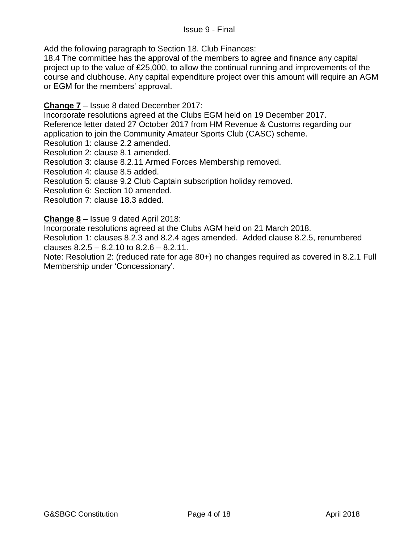Add the following paragraph to Section 18. Club Finances:

18.4 The committee has the approval of the members to agree and finance any capital project up to the value of £25,000, to allow the continual running and improvements of the course and clubhouse. Any capital expenditure project over this amount will require an AGM or EGM for the members' approval.

#### **Change 7** – Issue 8 dated December 2017:

Incorporate resolutions agreed at the Clubs EGM held on 19 December 2017. Reference letter dated 27 October 2017 from HM Revenue & Customs regarding our application to join the Community Amateur Sports Club (CASC) scheme.

Resolution 1: clause 2.2 amended.

Resolution 2: clause 8.1 amended.

Resolution 3: clause 8.2.11 Armed Forces Membership removed.

Resolution 4: clause 8.5 added.

Resolution 5: clause 9.2 Club Captain subscription holiday removed.

Resolution 6: Section 10 amended.

Resolution 7: clause 18.3 added.

**Change 8** – Issue 9 dated April 2018:

Incorporate resolutions agreed at the Clubs AGM held on 21 March 2018.

Resolution 1: clauses 8.2.3 and 8.2.4 ages amended. Added clause 8.2.5, renumbered clauses  $8.2.5 - 8.2.10$  to  $8.2.6 - 8.2.11$ .

Note: Resolution 2: (reduced rate for age 80+) no changes required as covered in 8.2.1 Full Membership under 'Concessionary'.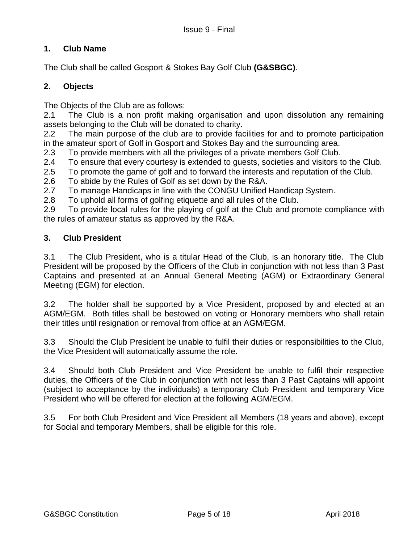# **1. Club Name**

The Club shall be called Gosport & Stokes Bay Golf Club **(G&SBGC)**.

## **2. Objects**

The Objects of the Club are as follows:

2.1 The Club is a non profit making organisation and upon dissolution any remaining assets belonging to the Club will be donated to charity.

2.2 The main purpose of the club are to provide facilities for and to promote participation in the amateur sport of Golf in Gosport and Stokes Bay and the surrounding area.

2.3 To provide members with all the privileges of a private members Golf Club.

2.4 To ensure that every courtesy is extended to guests, societies and visitors to the Club.

2.5 To promote the game of golf and to forward the interests and reputation of the Club.

2.6 To abide by the Rules of Golf as set down by the R&A.

2.7 To manage Handicaps in line with the CONGU Unified Handicap System.

2.8 To uphold all forms of golfing etiquette and all rules of the Club.

2.9 To provide local rules for the playing of golf at the Club and promote compliance with the rules of amateur status as approved by the R&A.

#### **3. Club President**

3.1 The Club President, who is a titular Head of the Club, is an honorary title. The Club President will be proposed by the Officers of the Club in conjunction with not less than 3 Past Captains and presented at an Annual General Meeting (AGM) or Extraordinary General Meeting (EGM) for election.

3.2 The holder shall be supported by a Vice President, proposed by and elected at an AGM/EGM. Both titles shall be bestowed on voting or Honorary members who shall retain their titles until resignation or removal from office at an AGM/EGM.

3.3 Should the Club President be unable to fulfil their duties or responsibilities to the Club, the Vice President will automatically assume the role.

3.4 Should both Club President and Vice President be unable to fulfil their respective duties, the Officers of the Club in conjunction with not less than 3 Past Captains will appoint (subject to acceptance by the individuals) a temporary Club President and temporary Vice President who will be offered for election at the following AGM/EGM.

3.5 For both Club President and Vice President all Members (18 years and above), except for Social and temporary Members, shall be eligible for this role.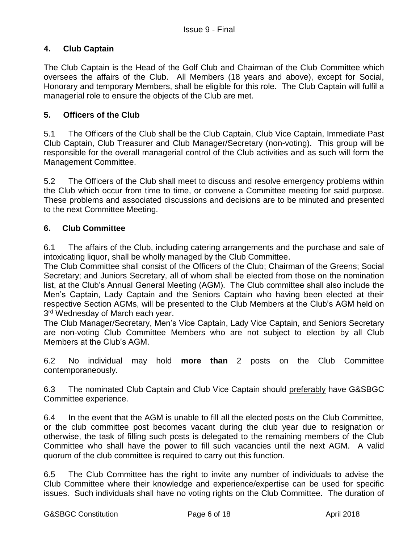# **4. Club Captain**

The Club Captain is the Head of the Golf Club and Chairman of the Club Committee which oversees the affairs of the Club. All Members (18 years and above), except for Social, Honorary and temporary Members, shall be eligible for this role. The Club Captain will fulfil a managerial role to ensure the objects of the Club are met.

#### **5. Officers of the Club**

5.1 The Officers of the Club shall be the Club Captain, Club Vice Captain, Immediate Past Club Captain, Club Treasurer and Club Manager/Secretary (non-voting). This group will be responsible for the overall managerial control of the Club activities and as such will form the Management Committee.

5.2 The Officers of the Club shall meet to discuss and resolve emergency problems within the Club which occur from time to time, or convene a Committee meeting for said purpose. These problems and associated discussions and decisions are to be minuted and presented to the next Committee Meeting.

#### **6. Club Committee**

6.1 The affairs of the Club, including catering arrangements and the purchase and sale of intoxicating liquor, shall be wholly managed by the Club Committee.

The Club Committee shall consist of the Officers of the Club; Chairman of the Greens; Social Secretary; and Juniors Secretary, all of whom shall be elected from those on the nomination list, at the Club's Annual General Meeting (AGM). The Club committee shall also include the Men's Captain, Lady Captain and the Seniors Captain who having been elected at their respective Section AGMs, will be presented to the Club Members at the Club's AGM held on 3<sup>rd</sup> Wednesday of March each year.

The Club Manager/Secretary, Men's Vice Captain, Lady Vice Captain, and Seniors Secretary are non-voting Club Committee Members who are not subject to election by all Club Members at the Club's AGM.

6.2 No individual may hold **more than** 2 posts on the Club Committee contemporaneously.

6.3 The nominated Club Captain and Club Vice Captain should preferably have G&SBGC Committee experience.

6.4 In the event that the AGM is unable to fill all the elected posts on the Club Committee, or the club committee post becomes vacant during the club year due to resignation or otherwise, the task of filling such posts is delegated to the remaining members of the Club Committee who shall have the power to fill such vacancies until the next AGM. A valid quorum of the club committee is required to carry out this function.

6.5 The Club Committee has the right to invite any number of individuals to advise the Club Committee where their knowledge and experience/expertise can be used for specific issues. Such individuals shall have no voting rights on the Club Committee. The duration of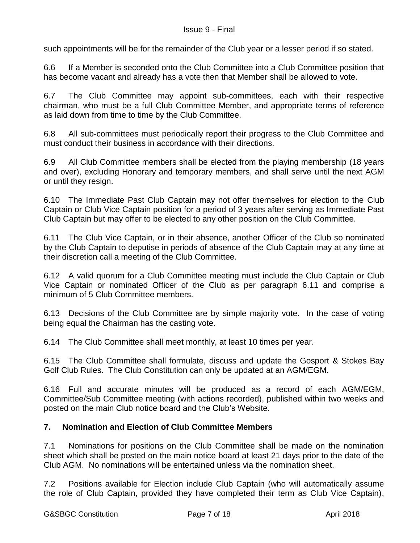such appointments will be for the remainder of the Club year or a lesser period if so stated.

6.6 If a Member is seconded onto the Club Committee into a Club Committee position that has become vacant and already has a vote then that Member shall be allowed to vote.

6.7 The Club Committee may appoint sub-committees, each with their respective chairman, who must be a full Club Committee Member, and appropriate terms of reference as laid down from time to time by the Club Committee.

6.8 All sub-committees must periodically report their progress to the Club Committee and must conduct their business in accordance with their directions.

6.9 All Club Committee members shall be elected from the playing membership (18 years and over), excluding Honorary and temporary members, and shall serve until the next AGM or until they resign.

6.10 The Immediate Past Club Captain may not offer themselves for election to the Club Captain or Club Vice Captain position for a period of 3 years after serving as Immediate Past Club Captain but may offer to be elected to any other position on the Club Committee.

6.11 The Club Vice Captain, or in their absence, another Officer of the Club so nominated by the Club Captain to deputise in periods of absence of the Club Captain may at any time at their discretion call a meeting of the Club Committee.

6.12 A valid quorum for a Club Committee meeting must include the Club Captain or Club Vice Captain or nominated Officer of the Club as per paragraph 6.11 and comprise a minimum of 5 Club Committee members.

6.13 Decisions of the Club Committee are by simple majority vote. In the case of voting being equal the Chairman has the casting vote.

6.14 The Club Committee shall meet monthly, at least 10 times per year.

6.15 The Club Committee shall formulate, discuss and update the Gosport & Stokes Bay Golf Club Rules. The Club Constitution can only be updated at an AGM/EGM.

6.16 Full and accurate minutes will be produced as a record of each AGM/EGM, Committee/Sub Committee meeting (with actions recorded), published within two weeks and posted on the main Club notice board and the Club's Website.

## **7. Nomination and Election of Club Committee Members**

7.1 Nominations for positions on the Club Committee shall be made on the nomination sheet which shall be posted on the main notice board at least 21 days prior to the date of the Club AGM. No nominations will be entertained unless via the nomination sheet.

7.2 Positions available for Election include Club Captain (who will automatically assume the role of Club Captain, provided they have completed their term as Club Vice Captain),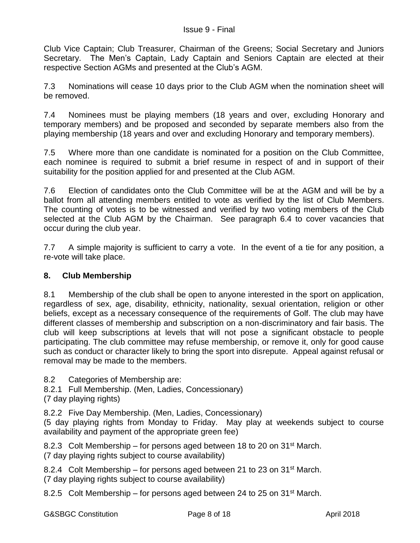Club Vice Captain; Club Treasurer, Chairman of the Greens; Social Secretary and Juniors Secretary. The Men's Captain, Lady Captain and Seniors Captain are elected at their respective Section AGMs and presented at the Club's AGM.

7.3 Nominations will cease 10 days prior to the Club AGM when the nomination sheet will be removed.

7.4 Nominees must be playing members (18 years and over, excluding Honorary and temporary members) and be proposed and seconded by separate members also from the playing membership (18 years and over and excluding Honorary and temporary members).

7.5 Where more than one candidate is nominated for a position on the Club Committee, each nominee is required to submit a brief resume in respect of and in support of their suitability for the position applied for and presented at the Club AGM.

7.6 Election of candidates onto the Club Committee will be at the AGM and will be by a ballot from all attending members entitled to vote as verified by the list of Club Members. The counting of votes is to be witnessed and verified by two voting members of the Club selected at the Club AGM by the Chairman. See paragraph 6.4 to cover vacancies that occur during the club year.

7.7 A simple majority is sufficient to carry a vote. In the event of a tie for any position, a re-vote will take place.

# **8. Club Membership**

8.1 Membership of the club shall be open to anyone interested in the sport on application, regardless of sex, age, disability, ethnicity, nationality, sexual orientation, religion or other beliefs, except as a necessary consequence of the requirements of Golf. The club may have different classes of membership and subscription on a non-discriminatory and fair basis. The club will keep subscriptions at levels that will not pose a significant obstacle to people participating. The club committee may refuse membership, or remove it, only for good cause such as conduct or character likely to bring the sport into disrepute. Appeal against refusal or removal may be made to the members.

8.2 Categories of Membership are:

- 8.2.1 Full Membership. (Men, Ladies, Concessionary)
- (7 day playing rights)

8.2.2 Five Day Membership. (Men, Ladies, Concessionary)

(5 day playing rights from Monday to Friday. May play at weekends subject to course availability and payment of the appropriate green fee)

8.2.3 Colt Membership – for persons aged between 18 to 20 on  $31<sup>st</sup>$  March. (7 day playing rights subject to course availability)

8.2.4 Colt Membership – for persons aged between 21 to 23 on 31<sup>st</sup> March. (7 day playing rights subject to course availability)

8.2.5 Colt Membership – for persons aged between 24 to 25 on  $31<sup>st</sup>$  March.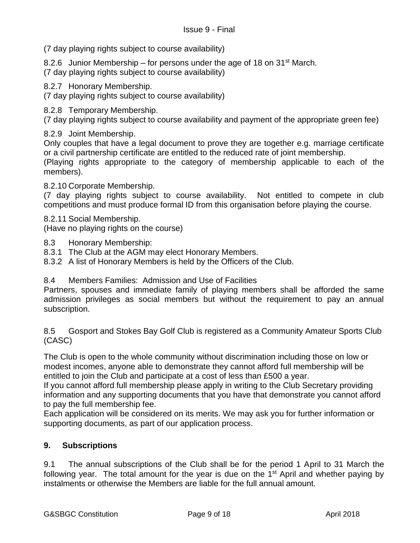(7 day playing rights subject to course availability)

8.2.6 Junior Membership – for persons under the age of 18 on  $31<sup>st</sup>$  March.

(7 day playing rights subject to course availability)

8.2.7 Honorary Membership.

(7 day playing rights subject to course availability)

8.2.8 Temporary Membership.

(7 day playing rights subject to course availability and payment of the appropriate green fee)

8.2.9 Joint Membership.

Only couples that have a legal document to prove they are together e.g. marriage certificate or a civil partnership certificate are entitled to the reduced rate of joint membership.

(Playing rights appropriate to the category of membership applicable to each of the members).

8.2.10 Corporate Membership.

(7 day playing rights subject to course availability. Not entitled to compete in club competitions and must produce formal ID from this organisation before playing the course.

8.2.11 Social Membership.

(Have no playing rights on the course)

- 8.3 Honorary Membership:
- 8.3.1 The Club at the AGM may elect Honorary Members.
- 8.3.2 A list of Honorary Members is held by the Officers of the Club.

8.4 Members Families: Admission and Use of Facilities

Partners, spouses and immediate family of playing members shall be afforded the same admission privileges as social members but without the requirement to pay an annual subscription.

8.5 Gosport and Stokes Bay Golf Club is registered as a Community Amateur Sports Club (CASC)

The Club is open to the whole community without discrimination including those on low or modest incomes, anyone able to demonstrate they cannot afford full membership will be entitled to join the Club and participate at a cost of less than £500 a year.

If you cannot afford full membership please apply in writing to the Club Secretary providing information and any supporting documents that you have that demonstrate you cannot afford to pay the full membership fee.

Each application will be considered on its merits. We may ask you for further information or supporting documents, as part of our application process.

## **9. Subscriptions**

9.1 The annual subscriptions of the Club shall be for the period 1 April to 31 March the following year. The total amount for the year is due on the  $1<sup>st</sup>$  April and whether paying by instalments or otherwise the Members are liable for the full annual amount.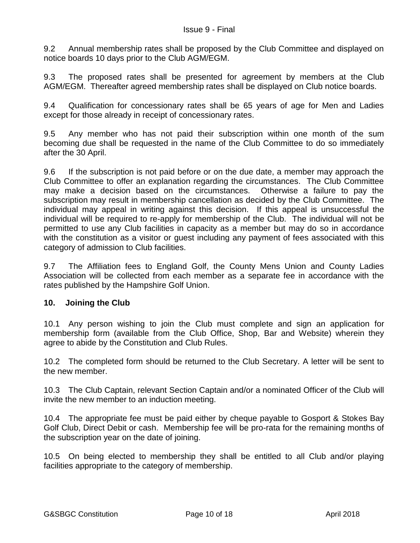9.2 Annual membership rates shall be proposed by the Club Committee and displayed on notice boards 10 days prior to the Club AGM/EGM.

9.3 The proposed rates shall be presented for agreement by members at the Club AGM/EGM. Thereafter agreed membership rates shall be displayed on Club notice boards.

9.4 Qualification for concessionary rates shall be 65 years of age for Men and Ladies except for those already in receipt of concessionary rates.

9.5 Any member who has not paid their subscription within one month of the sum becoming due shall be requested in the name of the Club Committee to do so immediately after the 30 April.

9.6 If the subscription is not paid before or on the due date, a member may approach the Club Committee to offer an explanation regarding the circumstances. The Club Committee may make a decision based on the circumstances. Otherwise a failure to pay the subscription may result in membership cancellation as decided by the Club Committee. The individual may appeal in writing against this decision. If this appeal is unsuccessful the individual will be required to re-apply for membership of the Club. The individual will not be permitted to use any Club facilities in capacity as a member but may do so in accordance with the constitution as a visitor or guest including any payment of fees associated with this category of admission to Club facilities.

9.7 The Affiliation fees to England Golf, the County Mens Union and County Ladies Association will be collected from each member as a separate fee in accordance with the rates published by the Hampshire Golf Union.

## **10. Joining the Club**

10.1 Any person wishing to join the Club must complete and sign an application for membership form (available from the Club Office, Shop, Bar and Website) wherein they agree to abide by the Constitution and Club Rules.

10.2 The completed form should be returned to the Club Secretary. A letter will be sent to the new member.

10.3 The Club Captain, relevant Section Captain and/or a nominated Officer of the Club will invite the new member to an induction meeting.

10.4 The appropriate fee must be paid either by cheque payable to Gosport & Stokes Bay Golf Club, Direct Debit or cash. Membership fee will be pro-rata for the remaining months of the subscription year on the date of joining.

10.5 On being elected to membership they shall be entitled to all Club and/or playing facilities appropriate to the category of membership.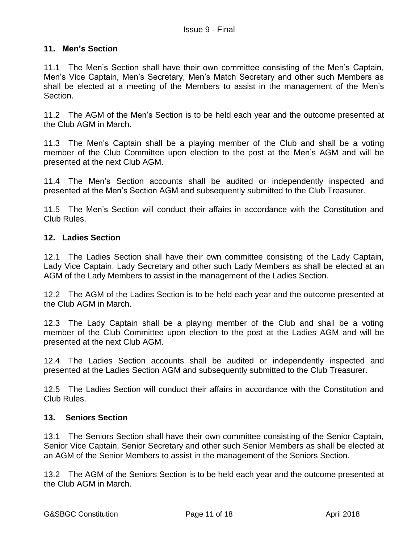#### **11. Men's Section**

11.1 The Men's Section shall have their own committee consisting of the Men's Captain, Men's Vice Captain, Men's Secretary, Men's Match Secretary and other such Members as shall be elected at a meeting of the Members to assist in the management of the Men's Section.

11.2 The AGM of the Men's Section is to be held each year and the outcome presented at the Club AGM in March.

11.3 The Men's Captain shall be a playing member of the Club and shall be a voting member of the Club Committee upon election to the post at the Men's AGM and will be presented at the next Club AGM.

11.4 The Men's Section accounts shall be audited or independently inspected and presented at the Men's Section AGM and subsequently submitted to the Club Treasurer.

11.5 The Men's Section will conduct their affairs in accordance with the Constitution and Club Rules.

#### **12. Ladies Section**

12.1 The Ladies Section shall have their own committee consisting of the Lady Captain, Lady Vice Captain, Lady Secretary and other such Lady Members as shall be elected at an AGM of the Lady Members to assist in the management of the Ladies Section.

12.2 The AGM of the Ladies Section is to be held each year and the outcome presented at the Club AGM in March.

12.3 The Lady Captain shall be a playing member of the Club and shall be a voting member of the Club Committee upon election to the post at the Ladies AGM and will be presented at the next Club AGM.

12.4 The Ladies Section accounts shall be audited or independently inspected and presented at the Ladies Section AGM and subsequently submitted to the Club Treasurer.

12.5 The Ladies Section will conduct their affairs in accordance with the Constitution and Club Rules.

#### **13. Seniors Section**

13.1 The Seniors Section shall have their own committee consisting of the Senior Captain, Senior Vice Captain, Senior Secretary and other such Senior Members as shall be elected at an AGM of the Senior Members to assist in the management of the Seniors Section.

13.2 The AGM of the Seniors Section is to be held each year and the outcome presented at the Club AGM in March.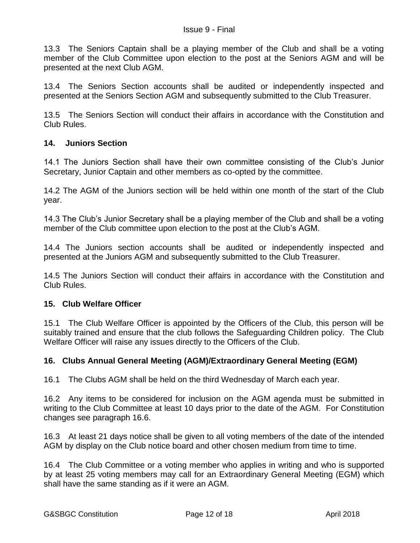13.3 The Seniors Captain shall be a playing member of the Club and shall be a voting member of the Club Committee upon election to the post at the Seniors AGM and will be presented at the next Club AGM.

13.4 The Seniors Section accounts shall be audited or independently inspected and presented at the Seniors Section AGM and subsequently submitted to the Club Treasurer.

13.5 The Seniors Section will conduct their affairs in accordance with the Constitution and Club Rules.

## **14. Juniors Section**

14.1 The Juniors Section shall have their own committee consisting of the Club's Junior Secretary, Junior Captain and other members as co-opted by the committee.

14.2 The AGM of the Juniors section will be held within one month of the start of the Club year.

14.3 The Club's Junior Secretary shall be a playing member of the Club and shall be a voting member of the Club committee upon election to the post at the Club's AGM.

14.4 The Juniors section accounts shall be audited or independently inspected and presented at the Juniors AGM and subsequently submitted to the Club Treasurer.

14.5 The Juniors Section will conduct their affairs in accordance with the Constitution and Club Rules.

#### **15. Club Welfare Officer**

15.1 The Club Welfare Officer is appointed by the Officers of the Club, this person will be suitably trained and ensure that the club follows the Safeguarding Children policy. The Club Welfare Officer will raise any issues directly to the Officers of the Club.

## **16. Clubs Annual General Meeting (AGM)/Extraordinary General Meeting (EGM)**

16.1 The Clubs AGM shall be held on the third Wednesday of March each year.

16.2 Any items to be considered for inclusion on the AGM agenda must be submitted in writing to the Club Committee at least 10 days prior to the date of the AGM. For Constitution changes see paragraph 16.6.

16.3 At least 21 days notice shall be given to all voting members of the date of the intended AGM by display on the Club notice board and other chosen medium from time to time.

16.4 The Club Committee or a voting member who applies in writing and who is supported by at least 25 voting members may call for an Extraordinary General Meeting (EGM) which shall have the same standing as if it were an AGM.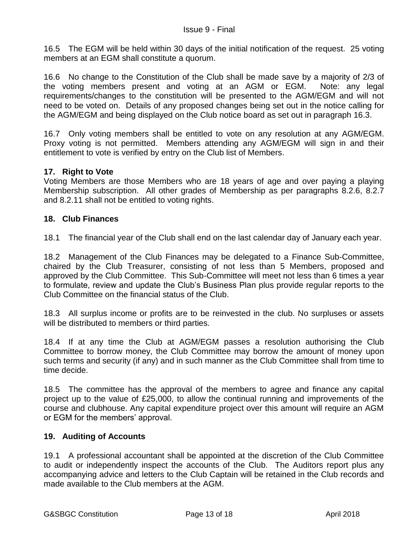16.5 The EGM will be held within 30 days of the initial notification of the request. 25 voting members at an EGM shall constitute a quorum.

16.6 No change to the Constitution of the Club shall be made save by a majority of 2/3 of the voting members present and voting at an AGM or EGM. Note: any legal requirements/changes to the constitution will be presented to the AGM/EGM and will not need to be voted on. Details of any proposed changes being set out in the notice calling for the AGM/EGM and being displayed on the Club notice board as set out in paragraph 16.3.

16.7 Only voting members shall be entitled to vote on any resolution at any AGM/EGM. Proxy voting is not permitted. Members attending any AGM/EGM will sign in and their entitlement to vote is verified by entry on the Club list of Members.

# **17. Right to Vote**

Voting Members are those Members who are 18 years of age and over paying a playing Membership subscription. All other grades of Membership as per paragraphs 8.2.6, 8.2.7 and 8.2.11 shall not be entitled to voting rights.

## **18. Club Finances**

18.1 The financial year of the Club shall end on the last calendar day of January each year.

18.2 Management of the Club Finances may be delegated to a Finance Sub-Committee, chaired by the Club Treasurer, consisting of not less than 5 Members, proposed and approved by the Club Committee. This Sub-Committee will meet not less than 6 times a year to formulate, review and update the Club's Business Plan plus provide regular reports to the Club Committee on the financial status of the Club.

18.3 All surplus income or profits are to be reinvested in the club. No surpluses or assets will be distributed to members or third parties.

18.4 If at any time the Club at AGM/EGM passes a resolution authorising the Club Committee to borrow money, the Club Committee may borrow the amount of money upon such terms and security (if any) and in such manner as the Club Committee shall from time to time decide.

18.5 The committee has the approval of the members to agree and finance any capital project up to the value of £25,000, to allow the continual running and improvements of the course and clubhouse. Any capital expenditure project over this amount will require an AGM or EGM for the members' approval.

## **19. Auditing of Accounts**

19.1 A professional accountant shall be appointed at the discretion of the Club Committee to audit or independently inspect the accounts of the Club. The Auditors report plus any accompanying advice and letters to the Club Captain will be retained in the Club records and made available to the Club members at the AGM.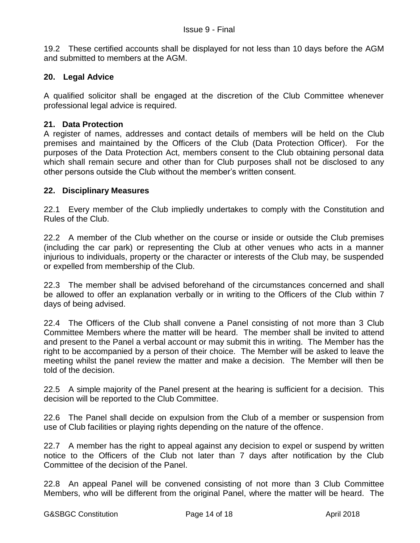19.2 These certified accounts shall be displayed for not less than 10 days before the AGM and submitted to members at the AGM.

## **20. Legal Advice**

A qualified solicitor shall be engaged at the discretion of the Club Committee whenever professional legal advice is required.

#### **21. Data Protection**

A register of names, addresses and contact details of members will be held on the Club premises and maintained by the Officers of the Club (Data Protection Officer). For the purposes of the Data Protection Act, members consent to the Club obtaining personal data which shall remain secure and other than for Club purposes shall not be disclosed to any other persons outside the Club without the member's written consent.

#### **22. Disciplinary Measures**

22.1 Every member of the Club impliedly undertakes to comply with the Constitution and Rules of the Club.

22.2 A member of the Club whether on the course or inside or outside the Club premises (including the car park) or representing the Club at other venues who acts in a manner injurious to individuals, property or the character or interests of the Club may, be suspended or expelled from membership of the Club.

22.3 The member shall be advised beforehand of the circumstances concerned and shall be allowed to offer an explanation verbally or in writing to the Officers of the Club within 7 days of being advised.

22.4 The Officers of the Club shall convene a Panel consisting of not more than 3 Club Committee Members where the matter will be heard. The member shall be invited to attend and present to the Panel a verbal account or may submit this in writing. The Member has the right to be accompanied by a person of their choice. The Member will be asked to leave the meeting whilst the panel review the matter and make a decision. The Member will then be told of the decision.

22.5 A simple majority of the Panel present at the hearing is sufficient for a decision. This decision will be reported to the Club Committee.

22.6 The Panel shall decide on expulsion from the Club of a member or suspension from use of Club facilities or playing rights depending on the nature of the offence.

22.7 A member has the right to appeal against any decision to expel or suspend by written notice to the Officers of the Club not later than 7 days after notification by the Club Committee of the decision of the Panel.

22.8 An appeal Panel will be convened consisting of not more than 3 Club Committee Members, who will be different from the original Panel, where the matter will be heard. The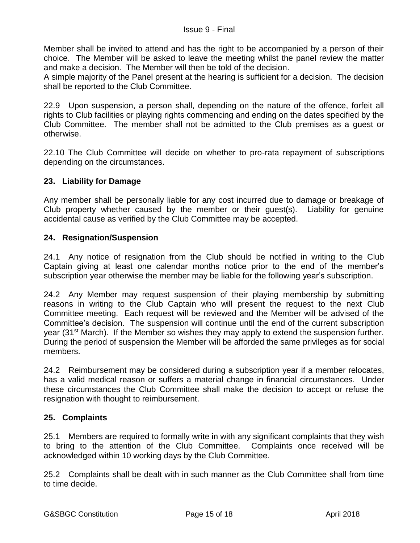Member shall be invited to attend and has the right to be accompanied by a person of their choice. The Member will be asked to leave the meeting whilst the panel review the matter and make a decision. The Member will then be told of the decision.

A simple majority of the Panel present at the hearing is sufficient for a decision. The decision shall be reported to the Club Committee.

22.9 Upon suspension, a person shall, depending on the nature of the offence, forfeit all rights to Club facilities or playing rights commencing and ending on the dates specified by the Club Committee. The member shall not be admitted to the Club premises as a guest or otherwise.

22.10 The Club Committee will decide on whether to pro-rata repayment of subscriptions depending on the circumstances.

## **23. Liability for Damage**

Any member shall be personally liable for any cost incurred due to damage or breakage of Club property whether caused by the member or their guest(s). Liability for genuine accidental cause as verified by the Club Committee may be accepted.

## **24. Resignation/Suspension**

24.1 Any notice of resignation from the Club should be notified in writing to the Club Captain giving at least one calendar months notice prior to the end of the member's subscription year otherwise the member may be liable for the following year's subscription.

24.2 Any Member may request suspension of their playing membership by submitting reasons in writing to the Club Captain who will present the request to the next Club Committee meeting. Each request will be reviewed and the Member will be advised of the Committee's decision. The suspension will continue until the end of the current subscription year (31st March). If the Member so wishes they may apply to extend the suspension further. During the period of suspension the Member will be afforded the same privileges as for social members.

24.2 Reimbursement may be considered during a subscription year if a member relocates, has a valid medical reason or suffers a material change in financial circumstances. Under these circumstances the Club Committee shall make the decision to accept or refuse the resignation with thought to reimbursement.

## **25. Complaints**

25.1 Members are required to formally write in with any significant complaints that they wish to bring to the attention of the Club Committee. Complaints once received will be acknowledged within 10 working days by the Club Committee.

25.2 Complaints shall be dealt with in such manner as the Club Committee shall from time to time decide.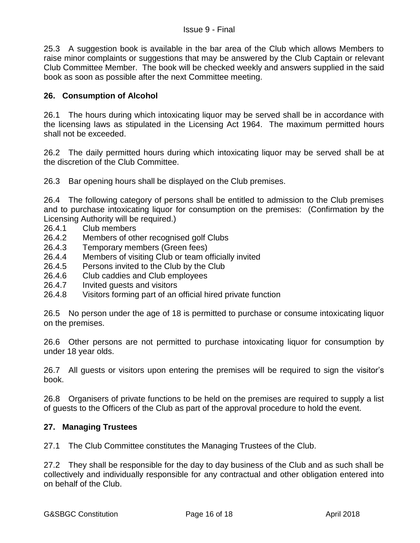25.3 A suggestion book is available in the bar area of the Club which allows Members to raise minor complaints or suggestions that may be answered by the Club Captain or relevant Club Committee Member. The book will be checked weekly and answers supplied in the said book as soon as possible after the next Committee meeting.

# **26. Consumption of Alcohol**

26.1 The hours during which intoxicating liquor may be served shall be in accordance with the licensing laws as stipulated in the Licensing Act 1964. The maximum permitted hours shall not be exceeded.

26.2 The daily permitted hours during which intoxicating liquor may be served shall be at the discretion of the Club Committee.

26.3 Bar opening hours shall be displayed on the Club premises.

26.4 The following category of persons shall be entitled to admission to the Club premises and to purchase intoxicating liquor for consumption on the premises: (Confirmation by the Licensing Authority will be required.)

- 26.4.1 Club members
- 26.4.2 Members of other recognised golf Clubs
- 26.4.3 Temporary members (Green fees)
- 26.4.4 Members of visiting Club or team officially invited
- 26.4.5 Persons invited to the Club by the Club
- 26.4.6 Club caddies and Club employees
- 26.4.7 Invited guests and visitors
- 26.4.8 Visitors forming part of an official hired private function

26.5 No person under the age of 18 is permitted to purchase or consume intoxicating liquor on the premises.

26.6 Other persons are not permitted to purchase intoxicating liquor for consumption by under 18 year olds.

26.7 All guests or visitors upon entering the premises will be required to sign the visitor's book.

26.8 Organisers of private functions to be held on the premises are required to supply a list of guests to the Officers of the Club as part of the approval procedure to hold the event.

## **27. Managing Trustees**

27.1 The Club Committee constitutes the Managing Trustees of the Club.

27.2 They shall be responsible for the day to day business of the Club and as such shall be collectively and individually responsible for any contractual and other obligation entered into on behalf of the Club.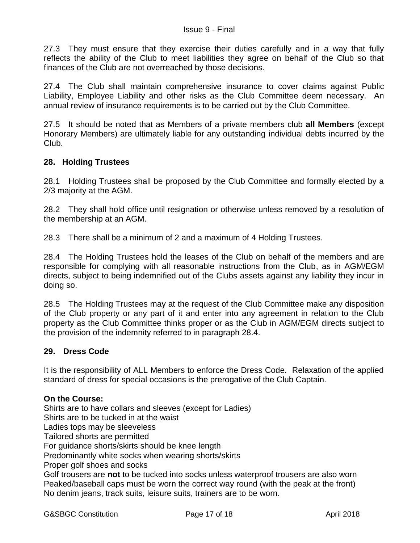27.3 They must ensure that they exercise their duties carefully and in a way that fully reflects the ability of the Club to meet liabilities they agree on behalf of the Club so that finances of the Club are not overreached by those decisions.

27.4 The Club shall maintain comprehensive insurance to cover claims against Public Liability, Employee Liability and other risks as the Club Committee deem necessary. An annual review of insurance requirements is to be carried out by the Club Committee.

27.5 It should be noted that as Members of a private members club **all Members** (except Honorary Members) are ultimately liable for any outstanding individual debts incurred by the Club.

# **28. Holding Trustees**

28.1 Holding Trustees shall be proposed by the Club Committee and formally elected by a 2/3 majority at the AGM.

28.2 They shall hold office until resignation or otherwise unless removed by a resolution of the membership at an AGM.

28.3 There shall be a minimum of 2 and a maximum of 4 Holding Trustees.

28.4 The Holding Trustees hold the leases of the Club on behalf of the members and are responsible for complying with all reasonable instructions from the Club, as in AGM/EGM directs, subject to being indemnified out of the Clubs assets against any liability they incur in doing so.

28.5 The Holding Trustees may at the request of the Club Committee make any disposition of the Club property or any part of it and enter into any agreement in relation to the Club property as the Club Committee thinks proper or as the Club in AGM/EGM directs subject to the provision of the indemnity referred to in paragraph 28.4.

## **29. Dress Code**

It is the responsibility of ALL Members to enforce the Dress Code. Relaxation of the applied standard of dress for special occasions is the prerogative of the Club Captain.

## **On the Course:**

Shirts are to have collars and sleeves (except for Ladies) Shirts are to be tucked in at the waist Ladies tops may be sleeveless Tailored shorts are permitted For guidance shorts/skirts should be knee length Predominantly white socks when wearing shorts/skirts Proper golf shoes and socks Golf trousers are **not** to be tucked into socks unless waterproof trousers are also worn Peaked/baseball caps must be worn the correct way round (with the peak at the front) No denim jeans, track suits, leisure suits, trainers are to be worn.